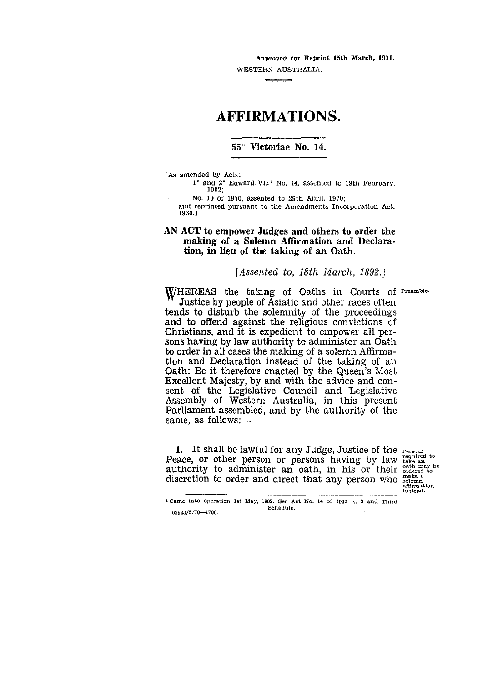Approved for Reprint 15th March, 1971.

WESTERN AUSTRALIA. 

# AFFIRMATIONS.

## 55° Victoriae **No. 14.**

CAs amended by Acts:

1° and 2° Edward. VII' No. 14, assented to 19th February, 1902;

No. 10 of 1970, assented to 29th April, 1970;

and reprinted pursuant to the Amendments Incorporation Act, 1938.1

### **AN ACT to empower Judges and others to order the making of a Solemn Affirmation and Declaration, in lieu of the taking of an Oath.**

#### *[Assented to, 18th March, 1892.]*

WHEREAS the taking of Oaths in Courts of Preamble. Justice by people of Asiatic and other races often tends to disturb the solemnity of the proceedings and to offend against the religious convictions of Christians, and it is expedient to empower all persons having by law authority to administer an Oath to order in all cases the making of a solemn Affirmation and Declaration instead of the taking of an Oath: Be it therefore enacted by the Queen's Most Excellent Majesty, by and with the advice and consent of the Legislative Council and Legislative Assembly of Western Australia, in this present Parliament assembled, and by the authority of the same, as follows:—

1. It shall be lawful for any Judge, Justice of the Persons Peace, or other person or persons having by law take an discretion to order and direct that any person who seemed affirmation

oath may<br>ordered to instead.

f Came into operation 1st May, 1902. See Act No. 14 of 1902, s. 3 and Third 69923/5/70-1700.